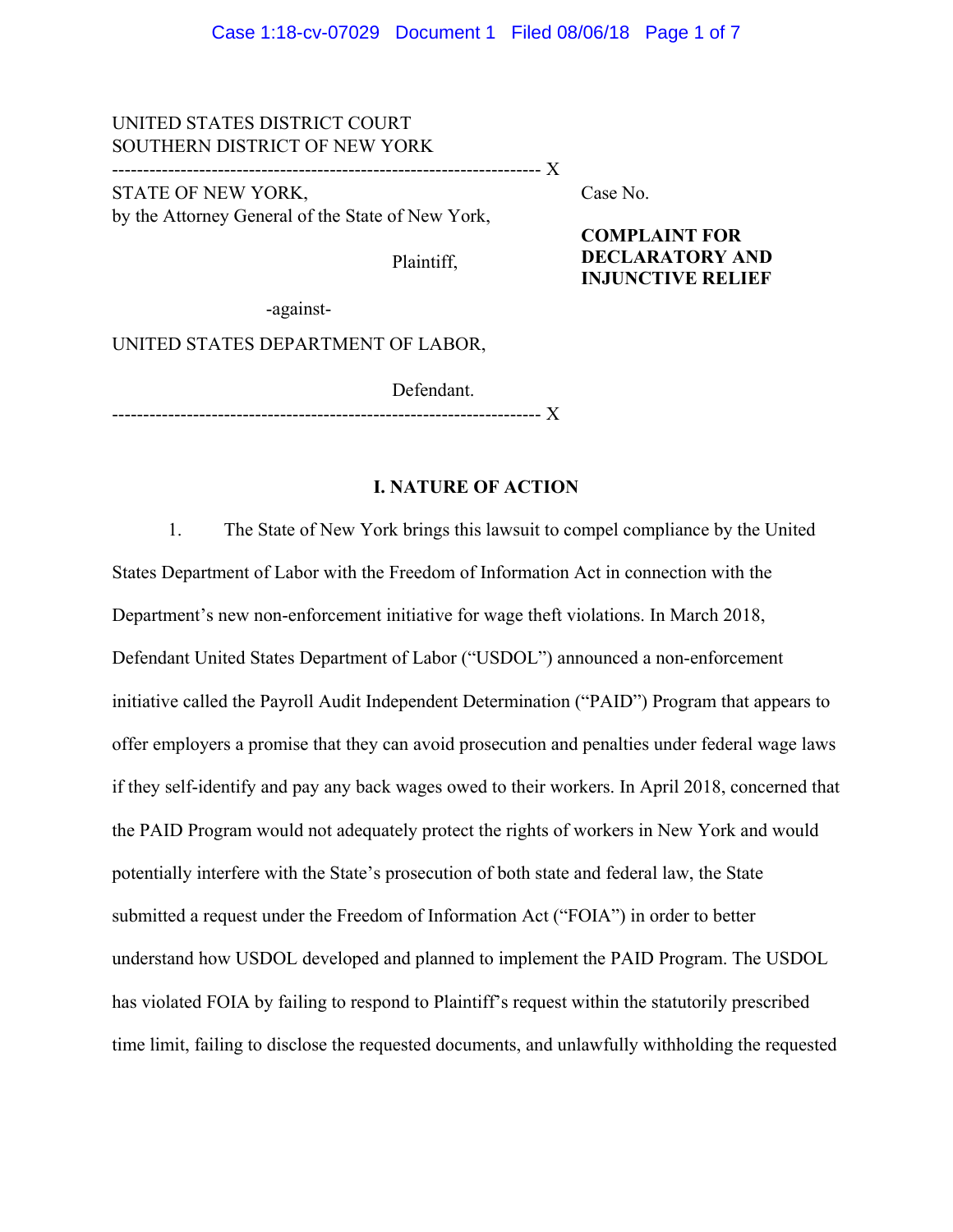## UNITED STATES DISTRICT COURT SOUTHERN DISTRICT OF NEW YORK

--------------------------------------------------------------------- X

STATE OF NEW YORK, by the Attorney General of the State of New York, Case No.

Plaintiff,

**COMPLAINT FOR DECLARATORY AND INJUNCTIVE RELIEF** 

-against-

UNITED STATES DEPARTMENT OF LABOR,

 Defendant. --------------------------------------------------------------------- X

## **I. NATURE OF ACTION**

 1. The State of New York brings this lawsuit to compel compliance by the United States Department of Labor with the Freedom of Information Act in connection with the Department's new non-enforcement initiative for wage theft violations. In March 2018, Defendant United States Department of Labor ("USDOL") announced a non-enforcement initiative called the Payroll Audit Independent Determination ("PAID") Program that appears to offer employers a promise that they can avoid prosecution and penalties under federal wage laws if they self-identify and pay any back wages owed to their workers. In April 2018, concerned that the PAID Program would not adequately protect the rights of workers in New York and would potentially interfere with the State's prosecution of both state and federal law, the State submitted a request under the Freedom of Information Act ("FOIA") in order to better understand how USDOL developed and planned to implement the PAID Program. The USDOL has violated FOIA by failing to respond to Plaintiff's request within the statutorily prescribed time limit, failing to disclose the requested documents, and unlawfully withholding the requested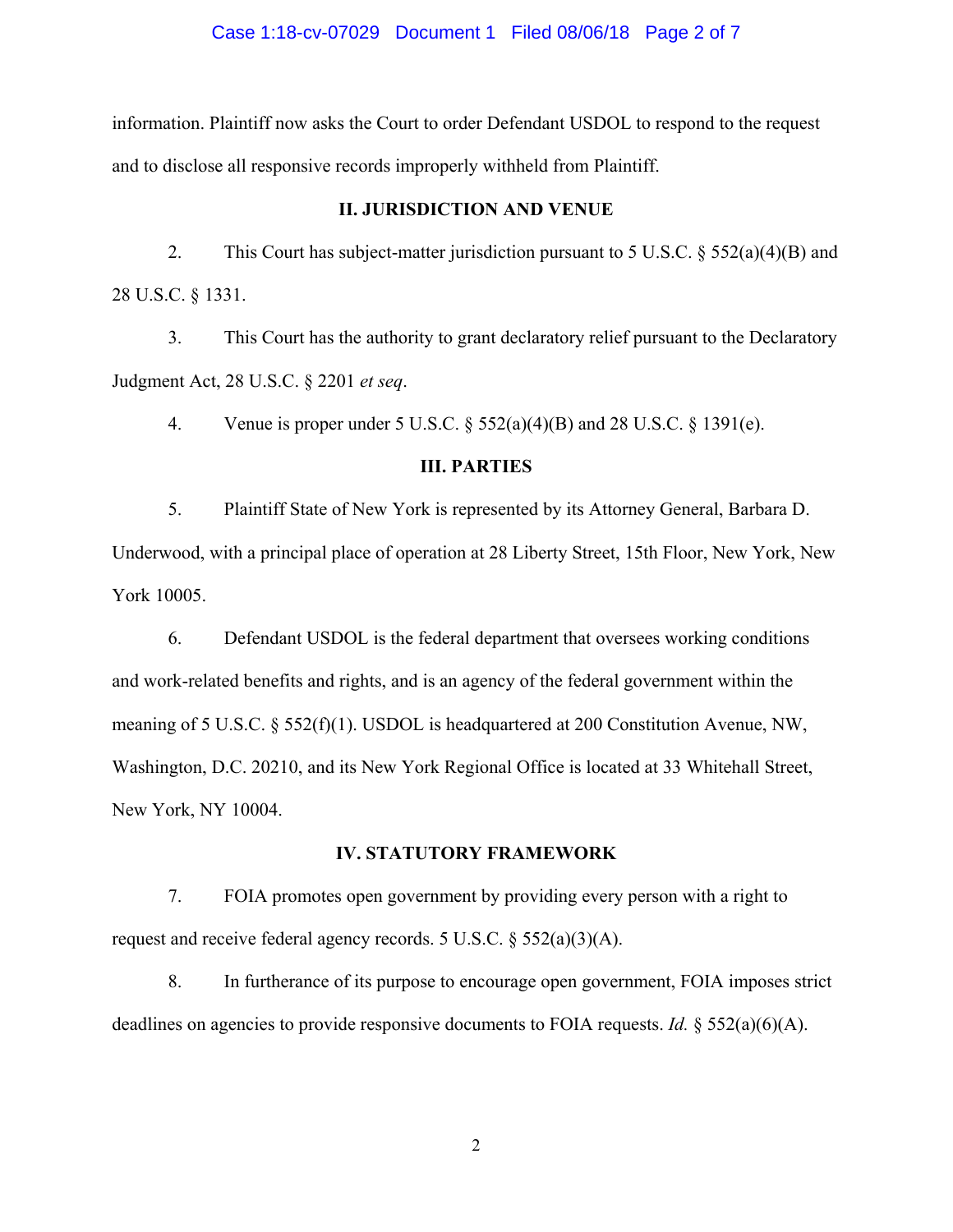#### Case 1:18-cv-07029 Document 1 Filed 08/06/18 Page 2 of 7

information. Plaintiff now asks the Court to order Defendant USDOL to respond to the request and to disclose all responsive records improperly withheld from Plaintiff.

#### **II. JURISDICTION AND VENUE**

 2. This Court has subject-matter jurisdiction pursuant to 5 U.S.C. § 552(a)(4)(B) and 28 U.S.C. § 1331.

 3. This Court has the authority to grant declaratory relief pursuant to the Declaratory Judgment Act, 28 U.S.C. § 2201 *et seq*.

4. Venue is proper under 5 U.S.C. § 552(a)(4)(B) and 28 U.S.C. § 1391(e).

## **III. PARTIES**

 5. Plaintiff State of New York is represented by its Attorney General, Barbara D. Underwood, with a principal place of operation at 28 Liberty Street, 15th Floor, New York, New York 10005.

 6. Defendant USDOL is the federal department that oversees working conditions and work-related benefits and rights, and is an agency of the federal government within the meaning of 5 U.S.C. § 552(f)(1). USDOL is headquartered at 200 Constitution Avenue, NW, Washington, D.C. 20210, and its New York Regional Office is located at 33 Whitehall Street, New York, NY 10004.

#### **IV. STATUTORY FRAMEWORK**

 7. FOIA promotes open government by providing every person with a right to request and receive federal agency records. 5 U.S.C. § 552(a)(3)(A).

 8. In furtherance of its purpose to encourage open government, FOIA imposes strict deadlines on agencies to provide responsive documents to FOIA requests. *Id.* § 552(a)(6)(A).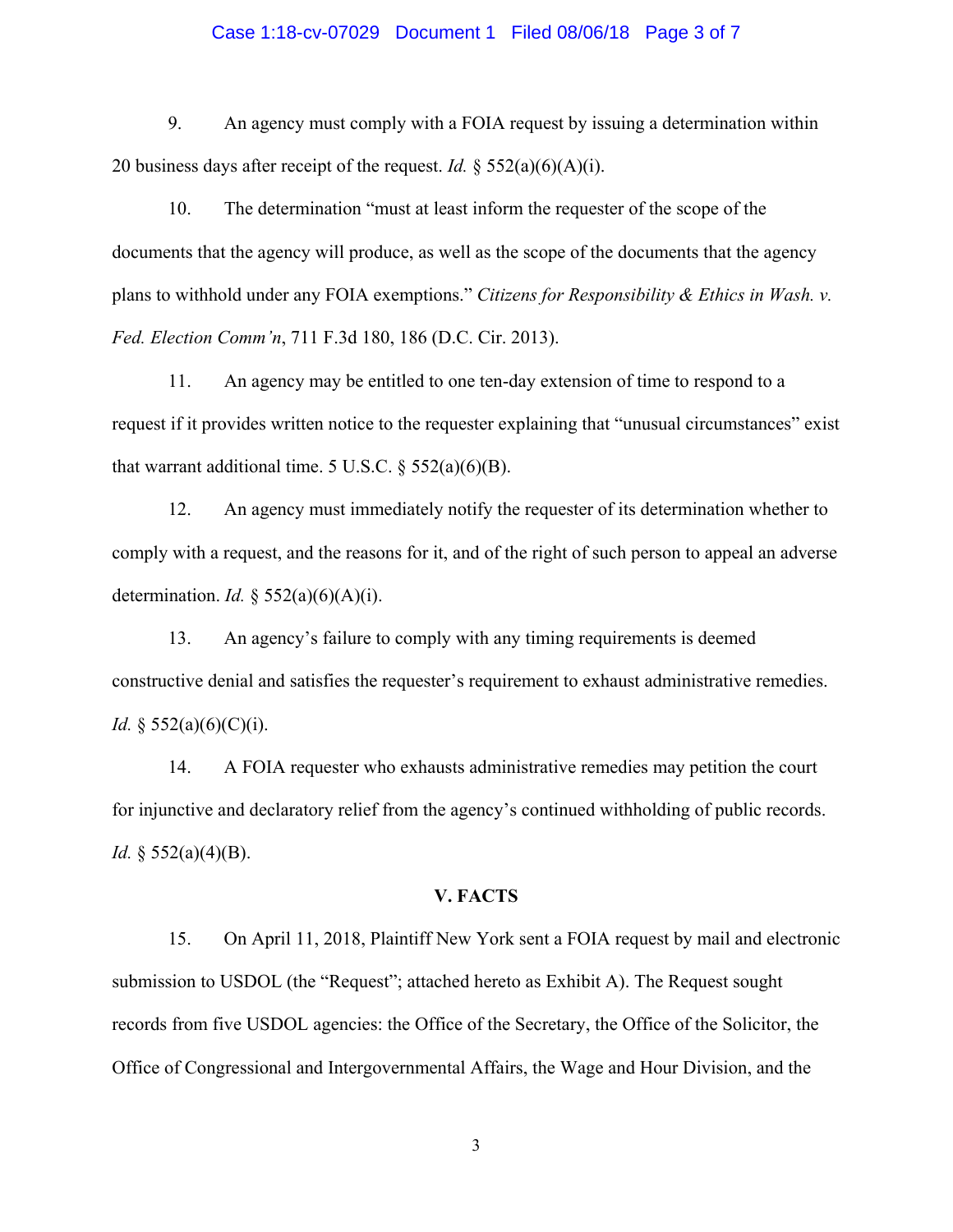#### Case 1:18-cv-07029 Document 1 Filed 08/06/18 Page 3 of 7

 9. An agency must comply with a FOIA request by issuing a determination within 20 business days after receipt of the request. *Id.* § 552(a)(6)(A)(i).

 10. The determination "must at least inform the requester of the scope of the documents that the agency will produce, as well as the scope of the documents that the agency plans to withhold under any FOIA exemptions." *Citizens for Responsibility & Ethics in Wash. v. Fed. Election Comm'n*, 711 F.3d 180, 186 (D.C. Cir. 2013).

 11. An agency may be entitled to one ten-day extension of time to respond to a request if it provides written notice to the requester explaining that "unusual circumstances" exist that warrant additional time. 5 U.S.C.  $\S$  552(a)(6)(B).

 12. An agency must immediately notify the requester of its determination whether to comply with a request, and the reasons for it, and of the right of such person to appeal an adverse determination. *Id.* § 552(a)(6)(A)(i).

 13. An agency's failure to comply with any timing requirements is deemed constructive denial and satisfies the requester's requirement to exhaust administrative remedies. *Id.* § 552(a)(6)(C)(i).

 14. A FOIA requester who exhausts administrative remedies may petition the court for injunctive and declaratory relief from the agency's continued withholding of public records. *Id.* § 552(a)(4)(B).

#### **V. FACTS**

 15. On April 11, 2018, Plaintiff New York sent a FOIA request by mail and electronic submission to USDOL (the "Request"; attached hereto as Exhibit A). The Request sought records from five USDOL agencies: the Office of the Secretary, the Office of the Solicitor, the Office of Congressional and Intergovernmental Affairs, the Wage and Hour Division, and the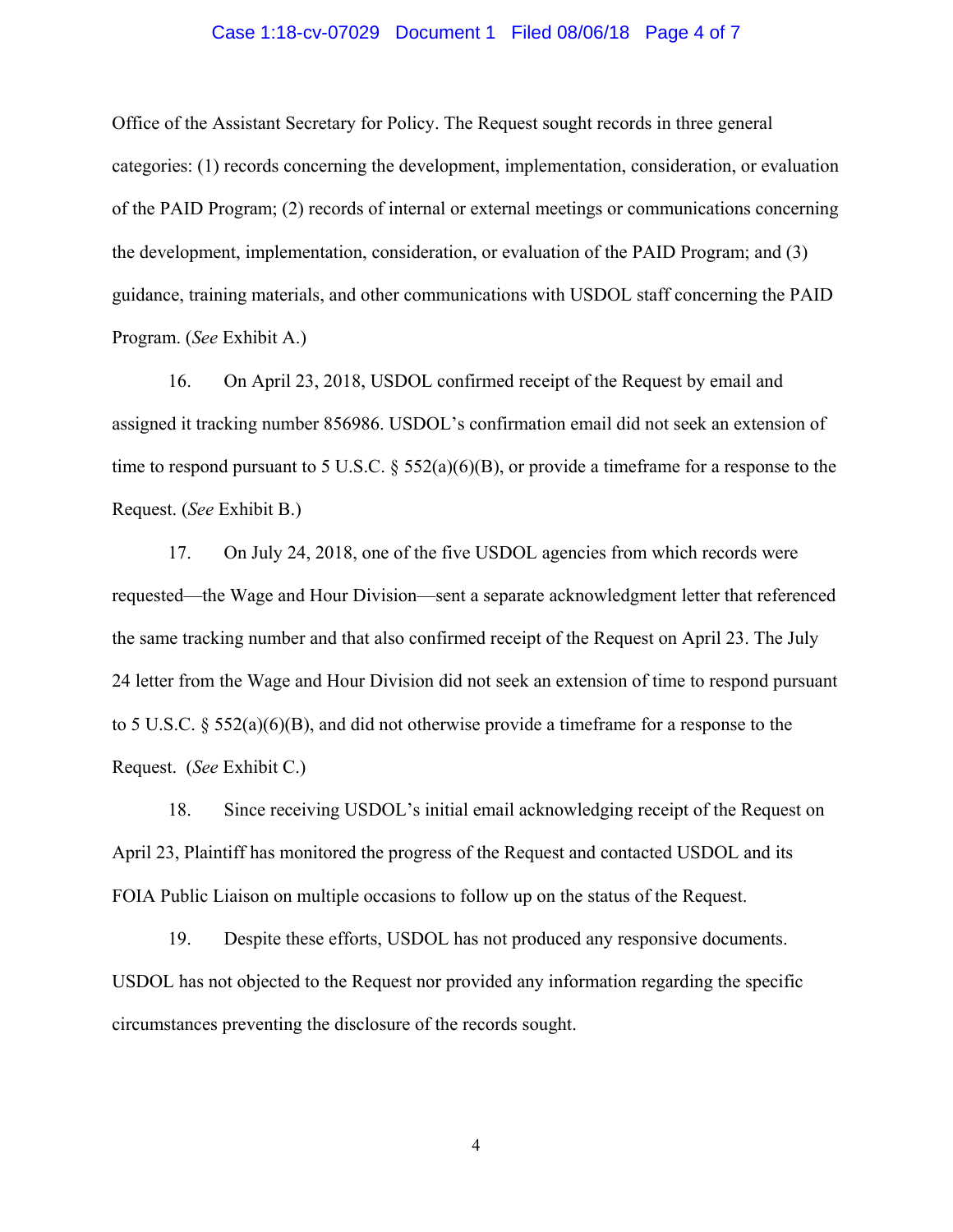#### Case 1:18-cv-07029 Document 1 Filed 08/06/18 Page 4 of 7

Office of the Assistant Secretary for Policy. The Request sought records in three general categories: (1) records concerning the development, implementation, consideration, or evaluation of the PAID Program; (2) records of internal or external meetings or communications concerning the development, implementation, consideration, or evaluation of the PAID Program; and (3) guidance, training materials, and other communications with USDOL staff concerning the PAID Program. (*See* Exhibit A.)

 16. On April 23, 2018, USDOL confirmed receipt of the Request by email and assigned it tracking number 856986. USDOL's confirmation email did not seek an extension of time to respond pursuant to 5 U.S.C. § 552(a)(6)(B), or provide a timeframe for a response to the Request. (*See* Exhibit B.)

17. On July 24, 2018, one of the five USDOL agencies from which records were requested—the Wage and Hour Division—sent a separate acknowledgment letter that referenced the same tracking number and that also confirmed receipt of the Request on April 23. The July 24 letter from the Wage and Hour Division did not seek an extension of time to respond pursuant to 5 U.S.C. § 552(a)(6)(B), and did not otherwise provide a timeframe for a response to the Request. (*See* Exhibit C.)

 18. Since receiving USDOL's initial email acknowledging receipt of the Request on April 23, Plaintiff has monitored the progress of the Request and contacted USDOL and its FOIA Public Liaison on multiple occasions to follow up on the status of the Request.

 19. Despite these efforts, USDOL has not produced any responsive documents. USDOL has not objected to the Request nor provided any information regarding the specific circumstances preventing the disclosure of the records sought.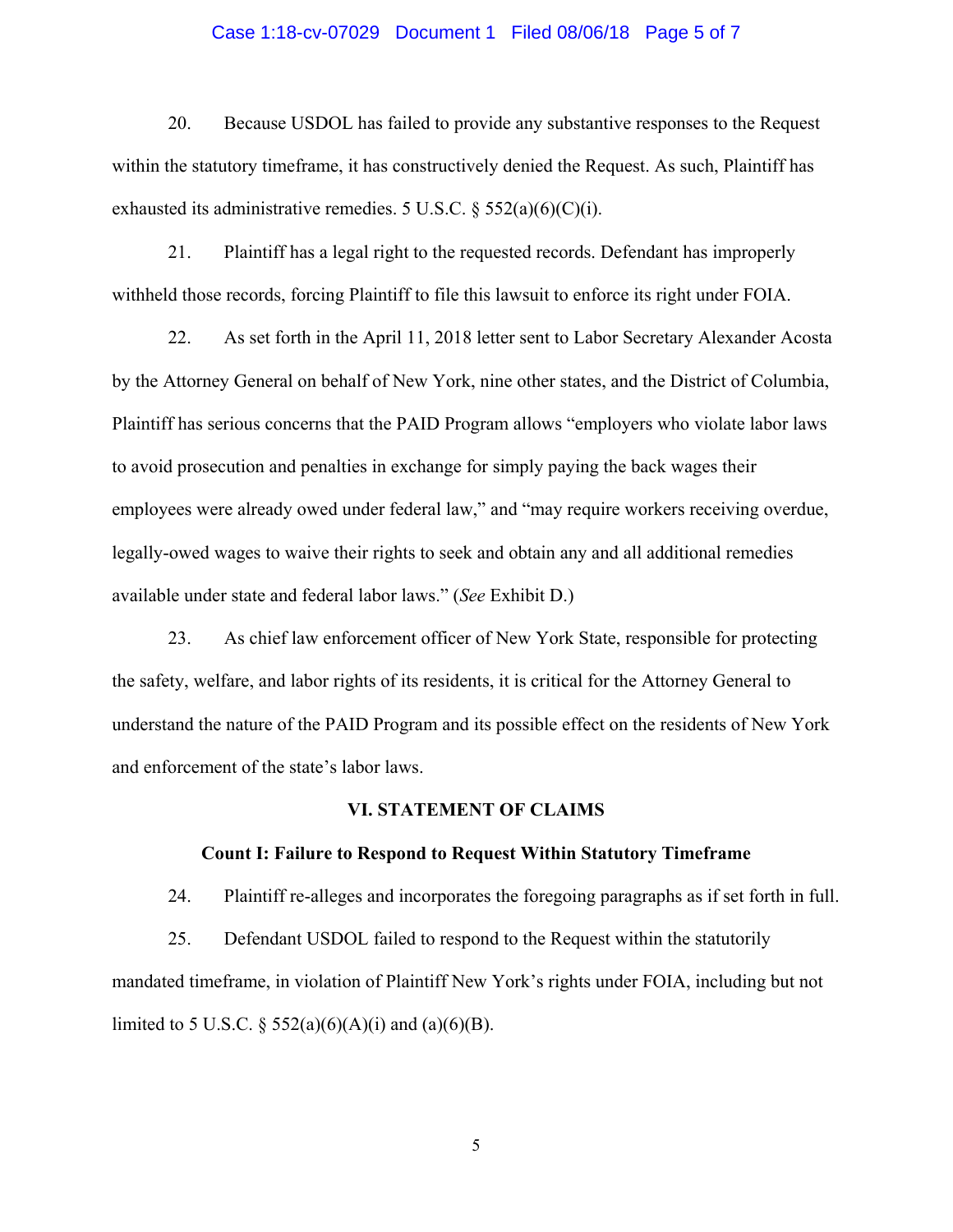#### Case 1:18-cv-07029 Document 1 Filed 08/06/18 Page 5 of 7

 20. Because USDOL has failed to provide any substantive responses to the Request within the statutory timeframe, it has constructively denied the Request. As such, Plaintiff has exhausted its administrative remedies. 5 U.S.C.  $\S$  552(a)(6)(C)(i).

 21. Plaintiff has a legal right to the requested records. Defendant has improperly withheld those records, forcing Plaintiff to file this lawsuit to enforce its right under FOIA.

 22. As set forth in the April 11, 2018 letter sent to Labor Secretary Alexander Acosta by the Attorney General on behalf of New York, nine other states, and the District of Columbia, Plaintiff has serious concerns that the PAID Program allows "employers who violate labor laws to avoid prosecution and penalties in exchange for simply paying the back wages their employees were already owed under federal law," and "may require workers receiving overdue, legally-owed wages to waive their rights to seek and obtain any and all additional remedies available under state and federal labor laws." (*See* Exhibit D.)

 23. As chief law enforcement officer of New York State, responsible for protecting the safety, welfare, and labor rights of its residents, it is critical for the Attorney General to understand the nature of the PAID Program and its possible effect on the residents of New York and enforcement of the state's labor laws.

#### **VI. STATEMENT OF CLAIMS**

#### **Count I: Failure to Respond to Request Within Statutory Timeframe**

24. Plaintiff re-alleges and incorporates the foregoing paragraphs as if set forth in full.

 25. Defendant USDOL failed to respond to the Request within the statutorily mandated timeframe, in violation of Plaintiff New York's rights under FOIA, including but not limited to 5 U.S.C. § 552(a)(6)(A)(i) and (a)(6)(B).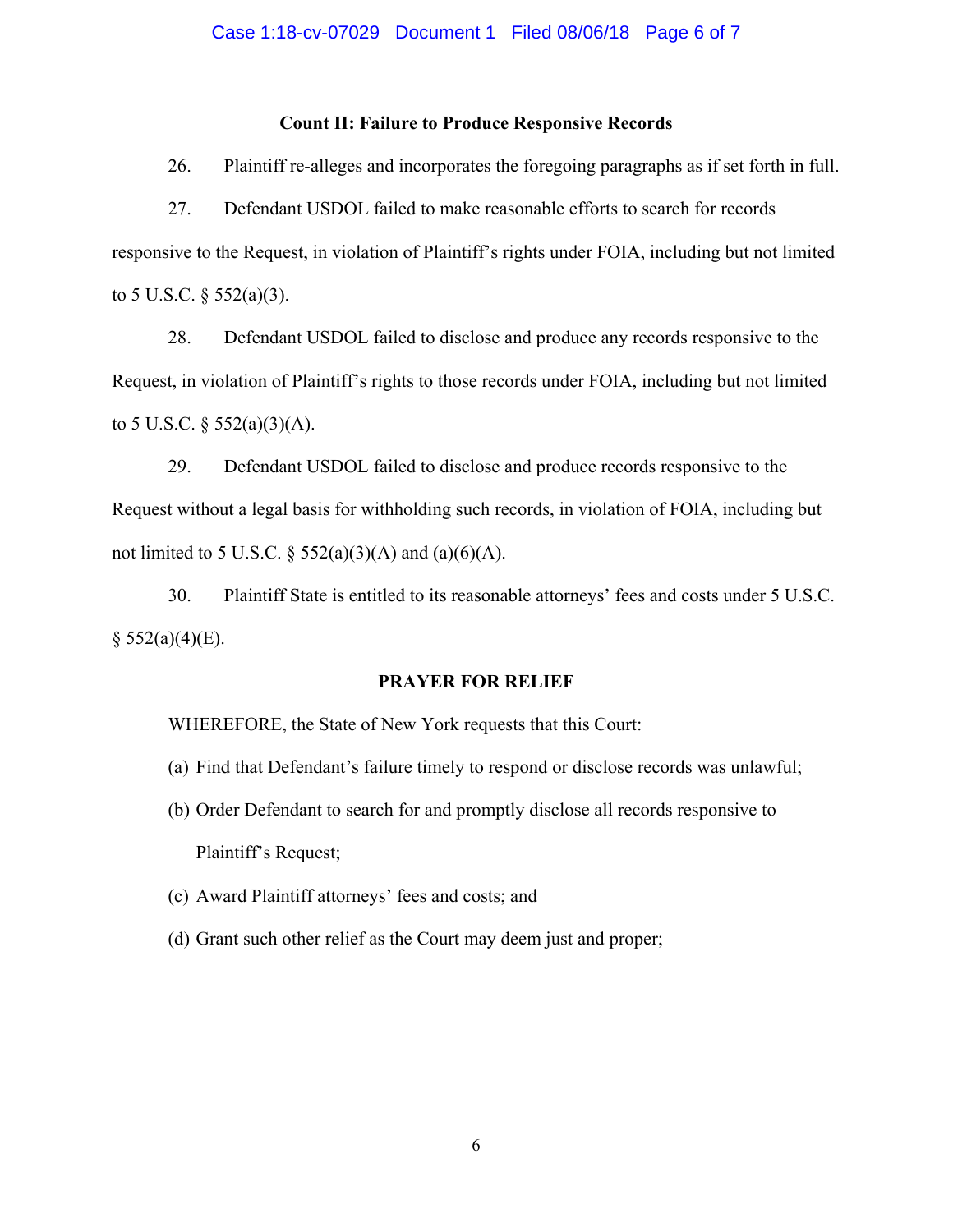## **Count II: Failure to Produce Responsive Records**

26. Plaintiff re-alleges and incorporates the foregoing paragraphs as if set forth in full.

 27. Defendant USDOL failed to make reasonable efforts to search for records responsive to the Request, in violation of Plaintiff's rights under FOIA, including but not limited to 5 U.S.C.  $\S$  552(a)(3).

 28. Defendant USDOL failed to disclose and produce any records responsive to the Request, in violation of Plaintiff's rights to those records under FOIA, including but not limited to 5 U.S.C.  $\S$  552(a)(3)(A).

 29. Defendant USDOL failed to disclose and produce records responsive to the Request without a legal basis for withholding such records, in violation of FOIA, including but not limited to 5 U.S.C.  $\S$  552(a)(3)(A) and (a)(6)(A).

 30. Plaintiff State is entitled to its reasonable attorneys' fees and costs under 5 U.S.C.  $§$  552(a)(4)(E).

## **PRAYER FOR RELIEF**

WHEREFORE, the State of New York requests that this Court:

- (a) Find that Defendant's failure timely to respond or disclose records was unlawful;
- (b) Order Defendant to search for and promptly disclose all records responsive to Plaintiff's Request;
- (c) Award Plaintiff attorneys' fees and costs; and
- (d) Grant such other relief as the Court may deem just and proper;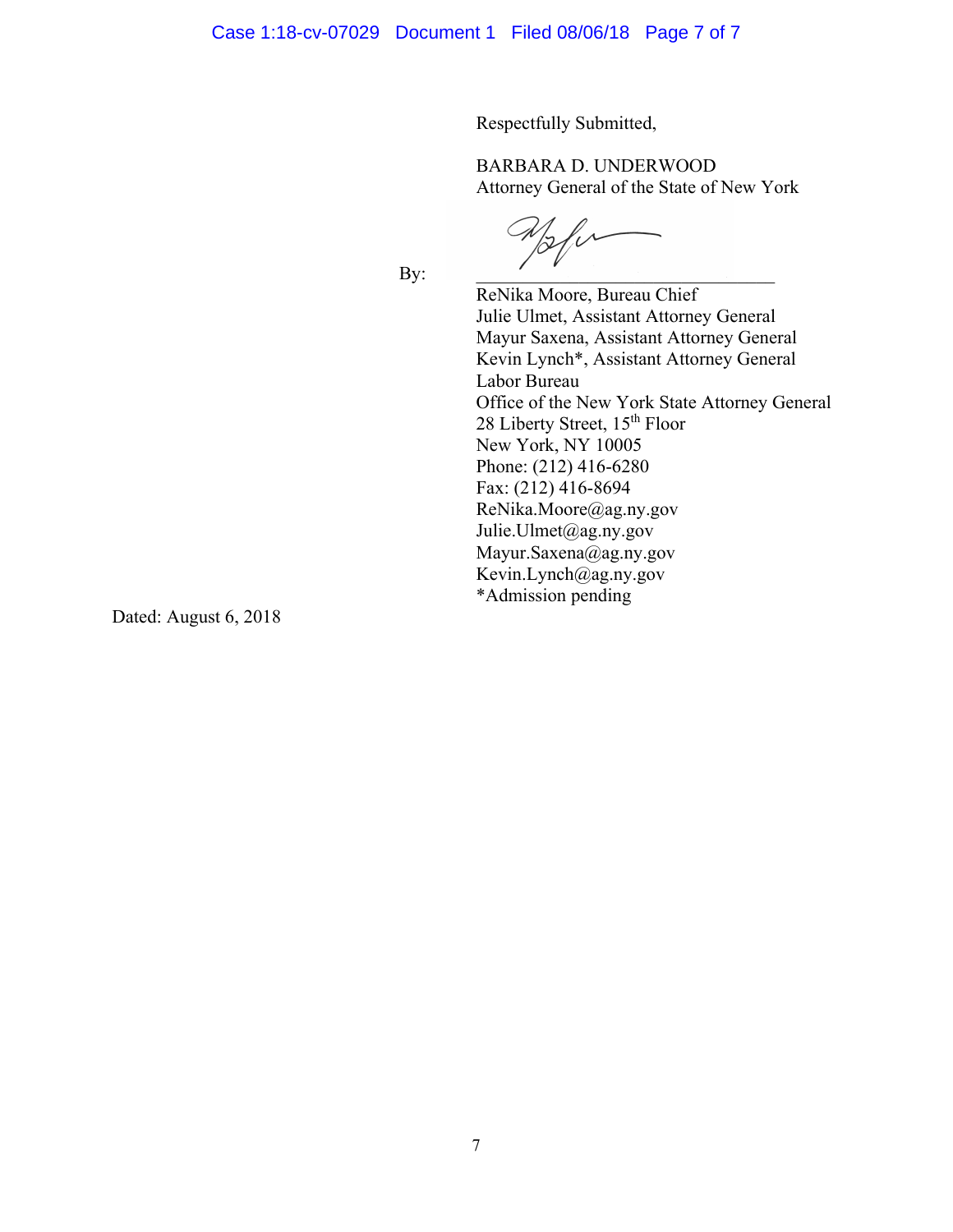Respectfully Submitted,

BARBARA D. UNDERWOOD Attorney General of the State of New York

 $\mathscr{U}$ By:  $\qquad \qquad$ 

ReNika Moore, Bureau Chief Julie Ulmet, Assistant Attorney General Mayur Saxena, Assistant Attorney General Kevin Lynch\*, Assistant Attorney General Labor Bureau Office of the New York State Attorney General 28 Liberty Street, 15<sup>th</sup> Floor New York, NY 10005 Phone: (212) 416-6280 Fax: (212) 416-8694 ReNika.Moore@ag.ny.gov Julie.Ulmet@ag.ny.gov Mayur.Saxena@ag.ny.gov Kevin.Lynch@ag.ny.gov \*Admission pending

Dated: August 6, 2018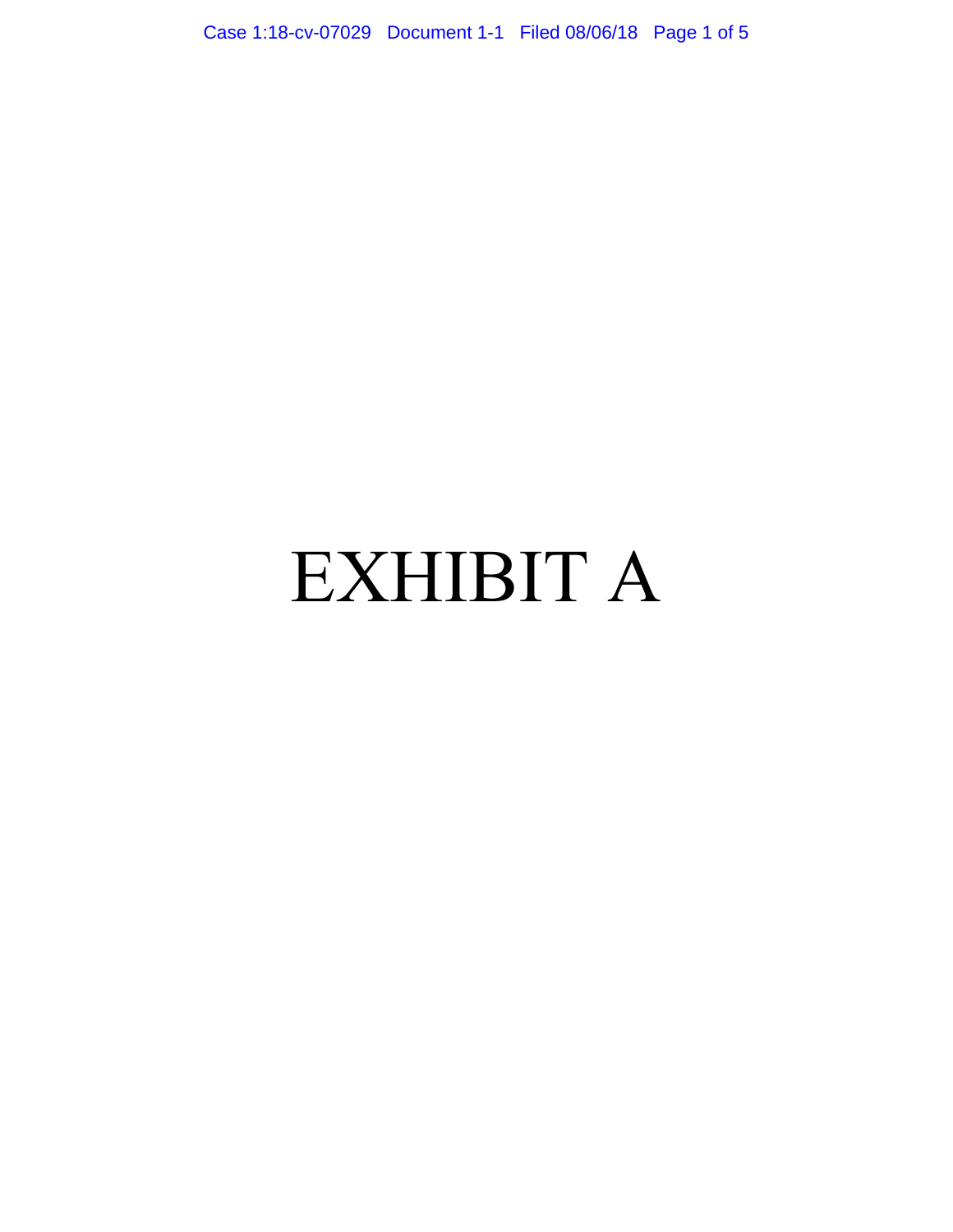Case 1:18-cv-07029 Document 1-1 Filed 08/06/18 Page 1 of 5

## EXHIBIT A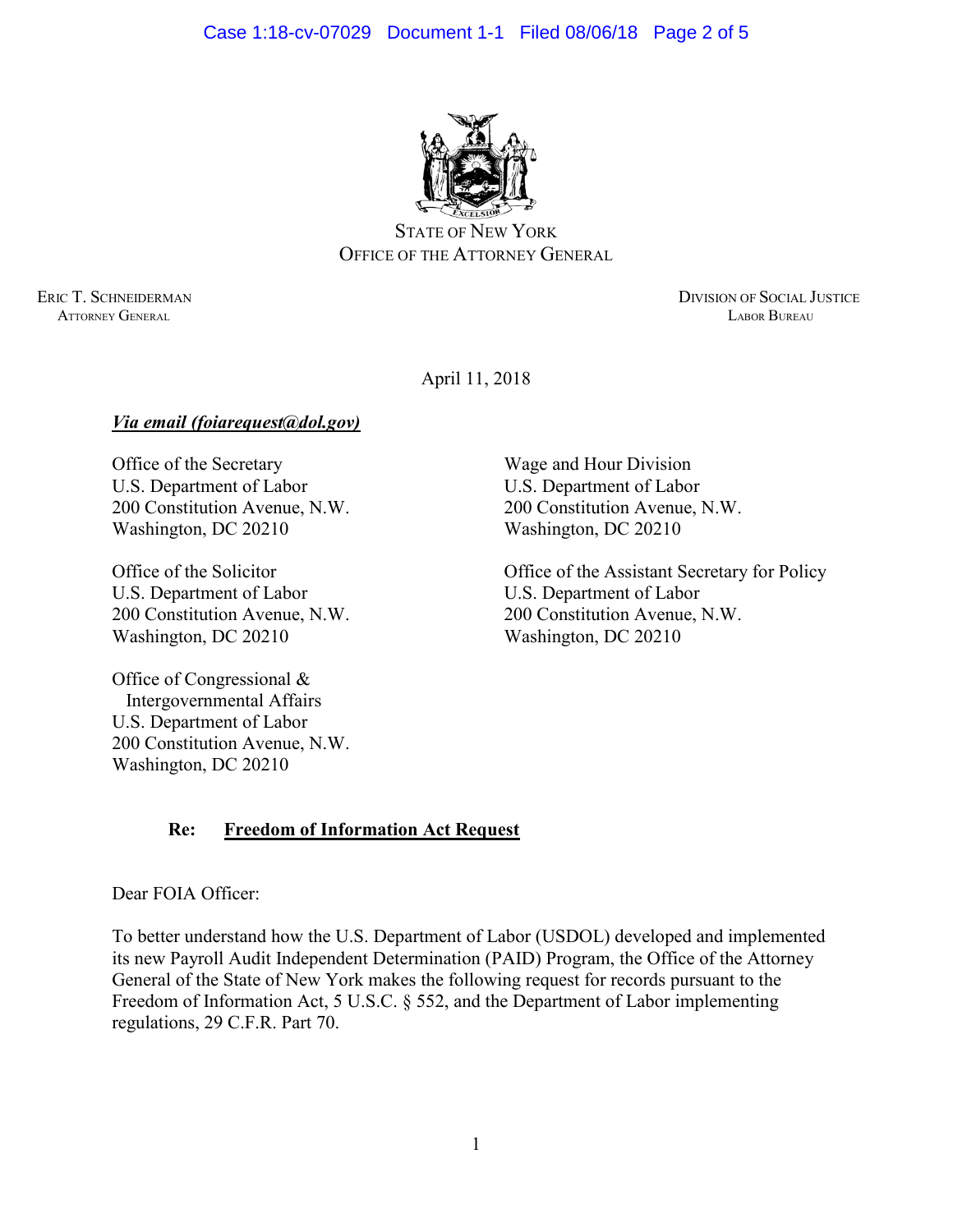

STATE OF NEW YORK OFFICE OF THE ATTORNEY GENERAL

ERIC T. SCHNEIDERMAN DIVISION OF SOCIAL JUSTICE ATTORNEY GENERAL LABOR BUREAU

April 11, 2018

## *Via email (foiarequest@dol.gov)*

Office of the Secretary U.S. Department of Labor 200 Constitution Avenue, N.W. Washington, DC 20210

Office of the Solicitor U.S. Department of Labor 200 Constitution Avenue, N.W. Washington, DC 20210

Office of Congressional & Intergovernmental Affairs U.S. Department of Labor 200 Constitution Avenue, N.W. Washington, DC 20210

Wage and Hour Division U.S. Department of Labor 200 Constitution Avenue, N.W. Washington, DC 20210

Office of the Assistant Secretary for Policy U.S. Department of Labor 200 Constitution Avenue, N.W. Washington, DC 20210

## **Re: Freedom of Information Act Request**

Dear FOIA Officer:

To better understand how the U.S. Department of Labor (USDOL) developed and implemented its new Payroll Audit Independent Determination (PAID) Program, the Office of the Attorney General of the State of New York makes the following request for records pursuant to the Freedom of Information Act, 5 U.S.C. § 552, and the Department of Labor implementing regulations, 29 C.F.R. Part 70.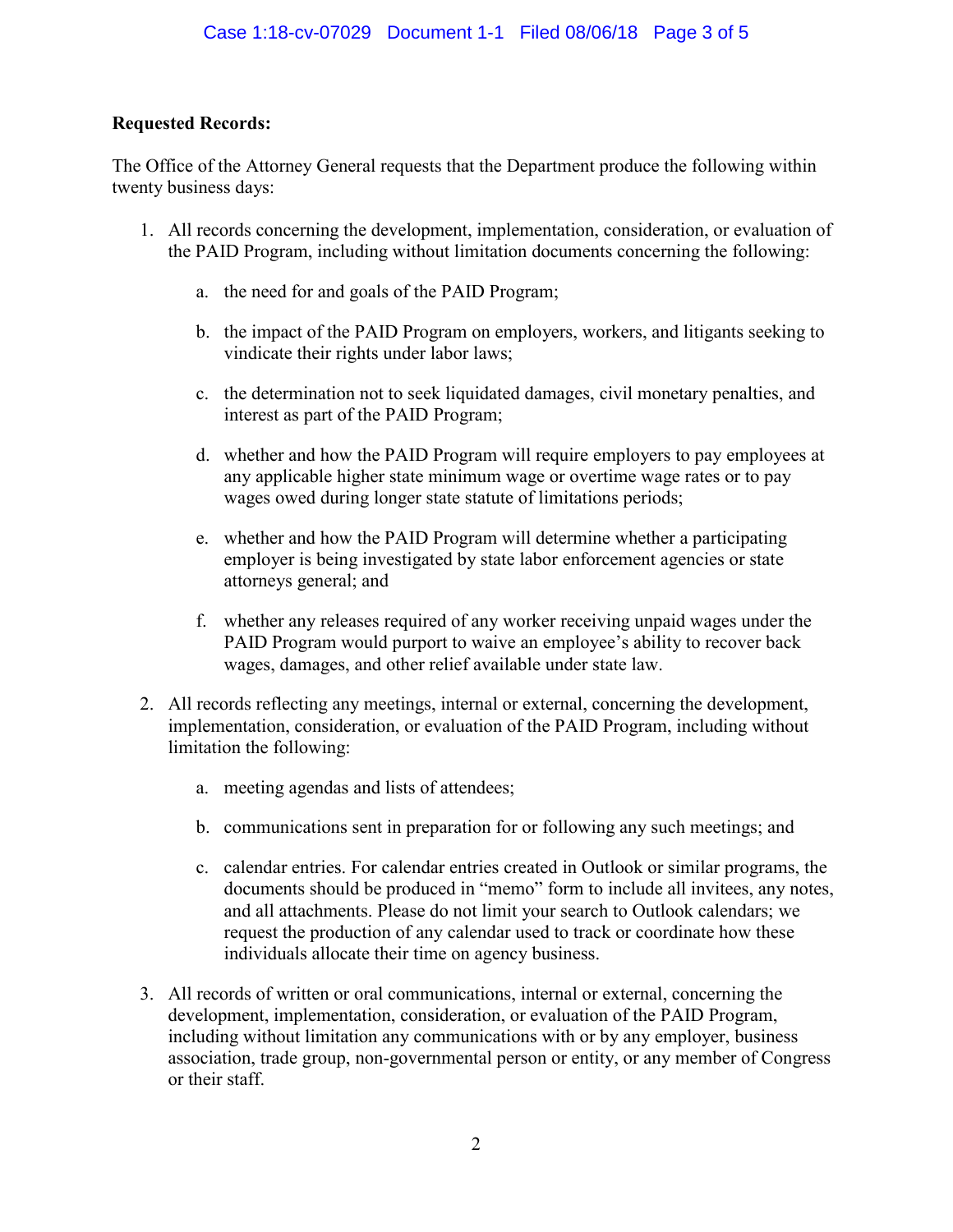## **Requested Records:**

The Office of the Attorney General requests that the Department produce the following within twenty business days:

- 1. All records concerning the development, implementation, consideration, or evaluation of the PAID Program, including without limitation documents concerning the following:
	- a. the need for and goals of the PAID Program;
	- b. the impact of the PAID Program on employers, workers, and litigants seeking to vindicate their rights under labor laws;
	- c. the determination not to seek liquidated damages, civil monetary penalties, and interest as part of the PAID Program;
	- d. whether and how the PAID Program will require employers to pay employees at any applicable higher state minimum wage or overtime wage rates or to pay wages owed during longer state statute of limitations periods;
	- e. whether and how the PAID Program will determine whether a participating employer is being investigated by state labor enforcement agencies or state attorneys general; and
	- f. whether any releases required of any worker receiving unpaid wages under the PAID Program would purport to waive an employee's ability to recover back wages, damages, and other relief available under state law.
- 2. All records reflecting any meetings, internal or external, concerning the development, implementation, consideration, or evaluation of the PAID Program, including without limitation the following:
	- a. meeting agendas and lists of attendees;
	- b. communications sent in preparation for or following any such meetings; and
	- c. calendar entries. For calendar entries created in Outlook or similar programs, the documents should be produced in "memo" form to include all invitees, any notes, and all attachments. Please do not limit your search to Outlook calendars; we request the production of any calendar used to track or coordinate how these individuals allocate their time on agency business.
- 3. All records of written or oral communications, internal or external, concerning the development, implementation, consideration, or evaluation of the PAID Program, including without limitation any communications with or by any employer, business association, trade group, non-governmental person or entity, or any member of Congress or their staff.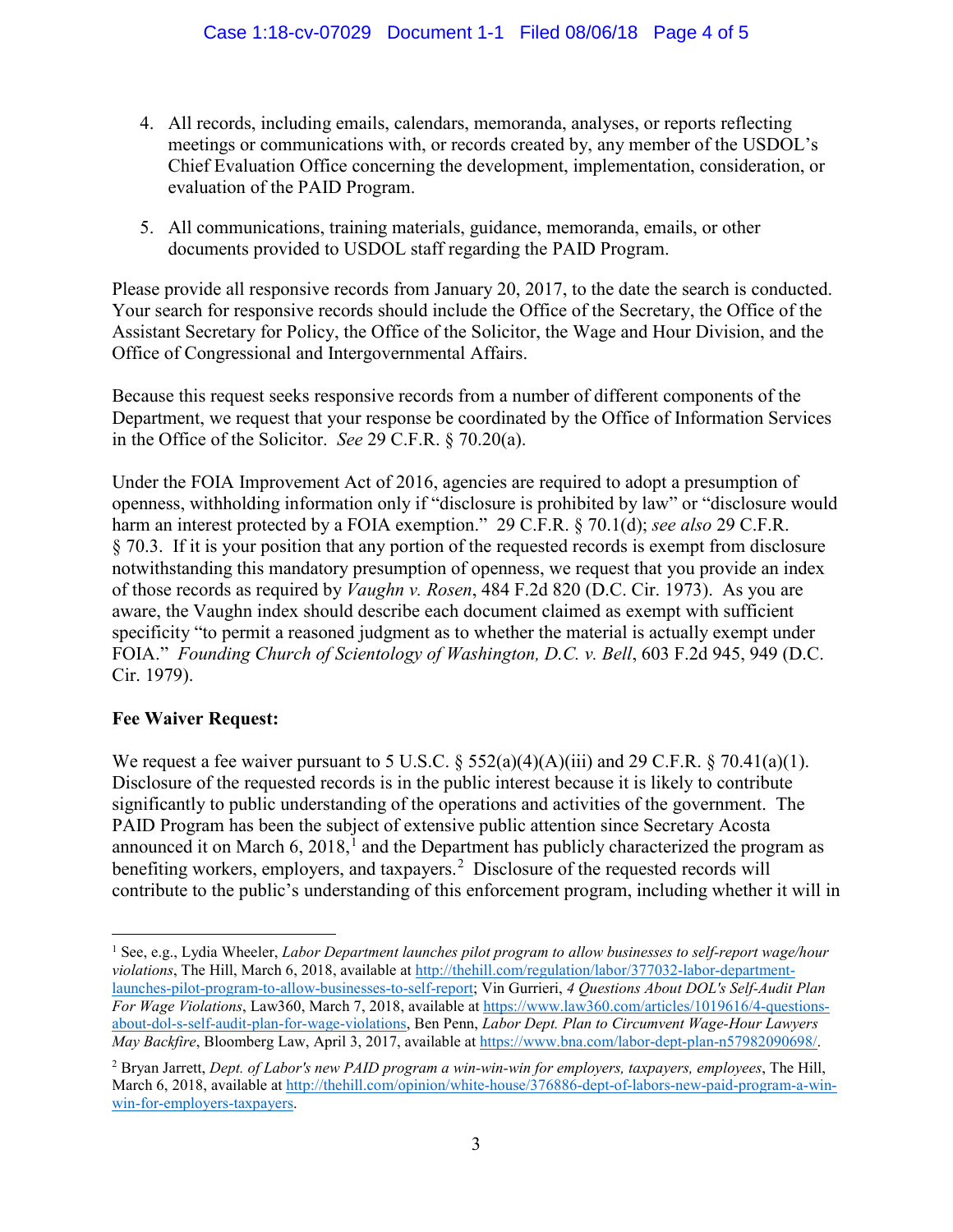- 4. All records, including emails, calendars, memoranda, analyses, or reports reflecting meetings or communications with, or records created by, any member of the USDOL's Chief Evaluation Office concerning the development, implementation, consideration, or evaluation of the PAID Program.
- 5. All communications, training materials, guidance, memoranda, emails, or other documents provided to USDOL staff regarding the PAID Program.

Please provide all responsive records from January 20, 2017, to the date the search is conducted. Your search for responsive records should include the Office of the Secretary, the Office of the Assistant Secretary for Policy, the Office of the Solicitor, the Wage and Hour Division, and the Office of Congressional and Intergovernmental Affairs.

Because this request seeks responsive records from a number of different components of the Department, we request that your response be coordinated by the Office of Information Services in the Office of the Solicitor. *See* 29 C.F.R. § 70.20(a).

Under the FOIA Improvement Act of 2016, agencies are required to adopt a presumption of openness, withholding information only if "disclosure is prohibited by law" or "disclosure would harm an interest protected by a FOIA exemption." 29 C.F.R. § 70.1(d); *see also* 29 C.F.R. § 70.3. If it is your position that any portion of the requested records is exempt from disclosure notwithstanding this mandatory presumption of openness, we request that you provide an index of those records as required by *Vaughn v. Rosen*, 484 F.2d 820 (D.C. Cir. 1973). As you are aware, the Vaughn index should describe each document claimed as exempt with sufficient specificity "to permit a reasoned judgment as to whether the material is actually exempt under FOIA." *Founding Church of Scientology of Washington, D.C. v. Bell*, 603 F.2d 945, 949 (D.C. Cir. 1979).

## **Fee Waiver Request:**

We request a fee waiver pursuant to 5 U.S.C.  $\S$  552(a)(4)(A)(iii) and 29 C.F.R.  $\S$  70.41(a)(1). Disclosure of the requested records is in the public interest because it is likely to contribute significantly to public understanding of the operations and activities of the government. The PAID Program has been the subject of extensive public attention since Secretary Acosta announced it on March 6,  $2018$  $2018$  $2018$ ,<sup>1</sup> and the Department has publicly characterized the program as benefiting workers, employers, and taxpayers.<sup>[2](#page-10-1)</sup> Disclosure of the requested records will contribute to the public's understanding of this enforcement program, including whether it will in

<span id="page-10-0"></span> $\overline{a}$ <sup>1</sup> See, e.g., Lydia Wheeler, *Labor Department launches pilot program to allow businesses to self-report wage/hour violations*, The Hill, March 6, 2018, available at [http://thehill.com/regulation/labor/377032-labor-department](http://thehill.com/regulation/labor/377032-labor-department-launches-pilot-program-to-allow-businesses-to-self-report)[launches-pilot-program-to-allow-businesses-to-self-report;](http://thehill.com/regulation/labor/377032-labor-department-launches-pilot-program-to-allow-businesses-to-self-report) Vin Gurrieri, *4 Questions About DOL's Self-Audit Plan For Wage Violations*, Law360, March 7, 2018, available a[t https://www.law360.com/articles/1019616/4-questions](https://www.law360.com/articles/1019616/4-questions-about-dol-s-self-audit-plan-for-wage-violations)[about-dol-s-self-audit-plan-for-wage-violations,](https://www.law360.com/articles/1019616/4-questions-about-dol-s-self-audit-plan-for-wage-violations) Ben Penn, *Labor Dept. Plan to Circumvent Wage-Hour Lawyers May Backfire*, Bloomberg Law, April 3, 2017, available at [https://www.bna.com/labor-dept-plan-n57982090698/.](https://www.bna.com/labor-dept-plan-n57982090698/)

<span id="page-10-1"></span><sup>2</sup> Bryan Jarrett, *Dept. of Labor's new PAID program a win-win-win for employers, taxpayers, employees*, The Hill, March 6, 2018, available at [http://thehill.com/opinion/white-house/376886-dept-of-labors-new-paid-program-a-win](http://thehill.com/opinion/white-house/376886-dept-of-labors-new-paid-program-a-win-win-for-employers-taxpayers)[win-for-employers-taxpayers.](http://thehill.com/opinion/white-house/376886-dept-of-labors-new-paid-program-a-win-win-for-employers-taxpayers)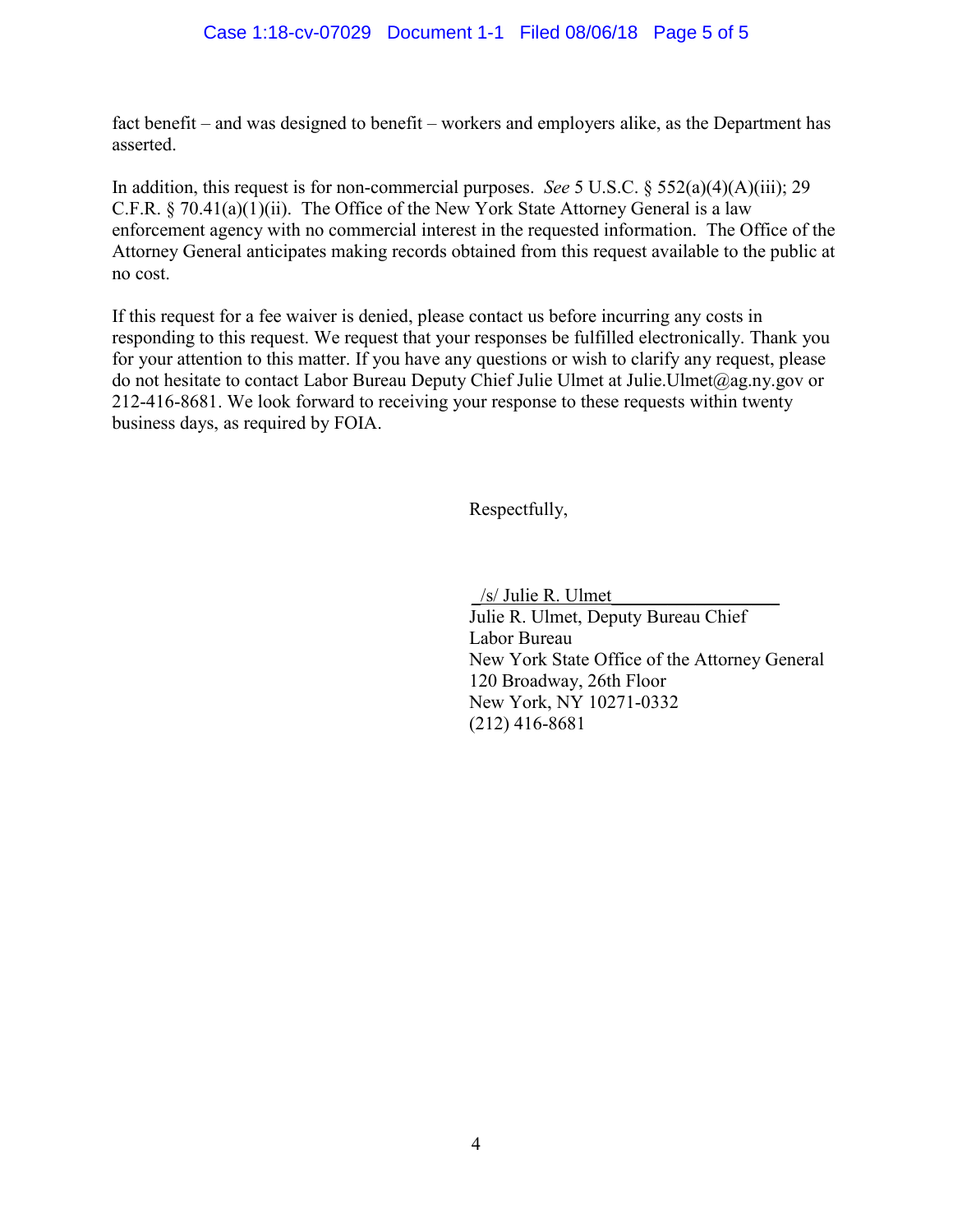fact benefit – and was designed to benefit – workers and employers alike, as the Department has asserted.

In addition, this request is for non-commercial purposes. *See* 5 U.S.C. § 552(a)(4)(A)(iii); 29 C.F.R. § 70.41(a)(1)(ii). The Office of the New York State Attorney General is a law enforcement agency with no commercial interest in the requested information. The Office of the Attorney General anticipates making records obtained from this request available to the public at no cost.

If this request for a fee waiver is denied, please contact us before incurring any costs in responding to this request. We request that your responses be fulfilled electronically. Thank you for your attention to this matter. If you have any questions or wish to clarify any request, please do not hesitate to contact Labor Bureau Deputy Chief Julie Ulmet at Julie.Ulmet@ag.ny.gov or 212-416-8681. We look forward to receiving your response to these requests within twenty business days, as required by FOIA.

Respectfully,

\_/s/ Julie R. Ulmet\_\_\_\_\_\_\_\_\_\_\_\_\_\_\_\_\_\_

Julie R. Ulmet, Deputy Bureau Chief Labor Bureau New York State Office of the Attorney General 120 Broadway, 26th Floor New York, NY 10271-0332 (212) 416-8681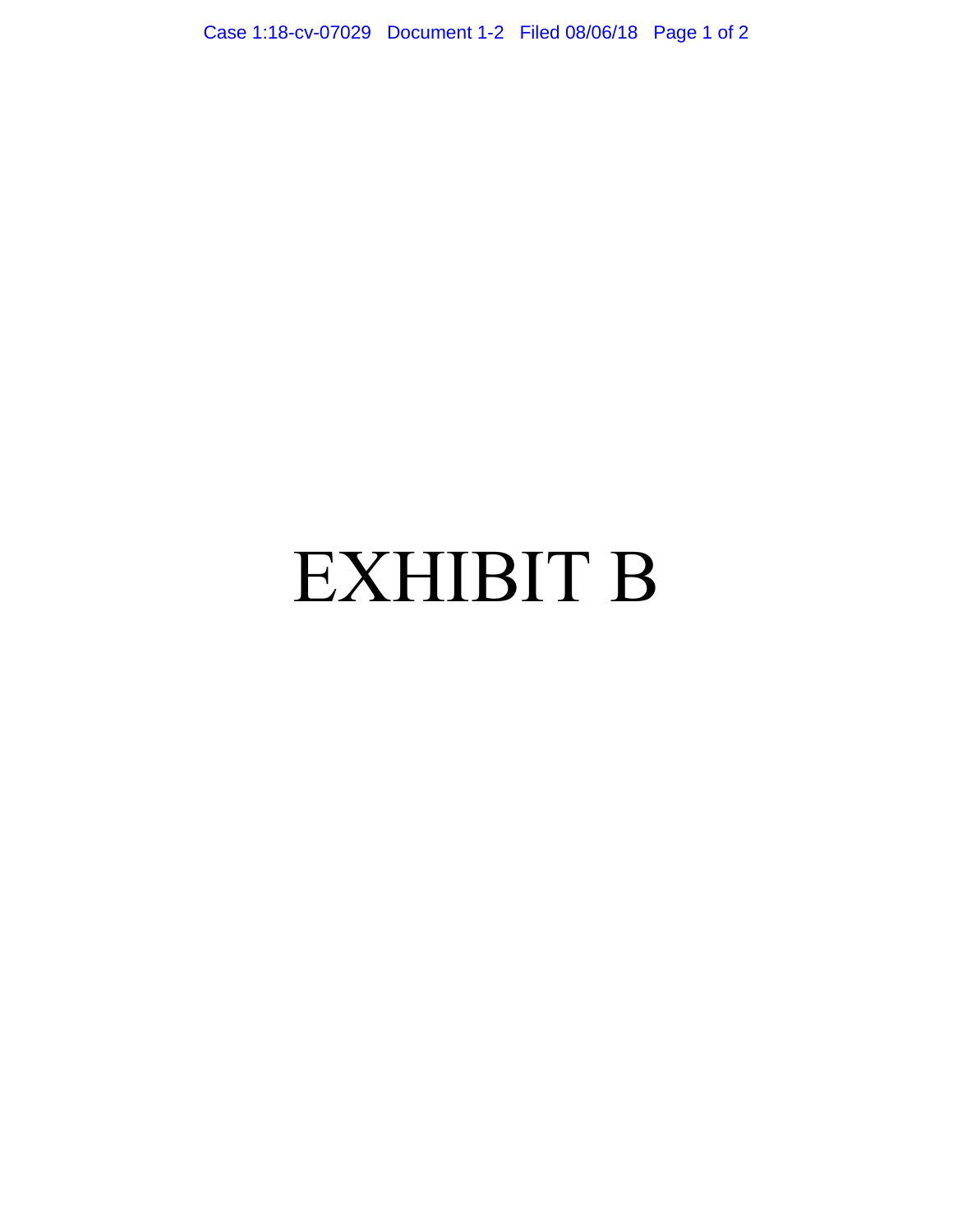Case 1:18-cv-07029 Document 1-2 Filed 08/06/18 Page 1 of 2

## EXHIBIT B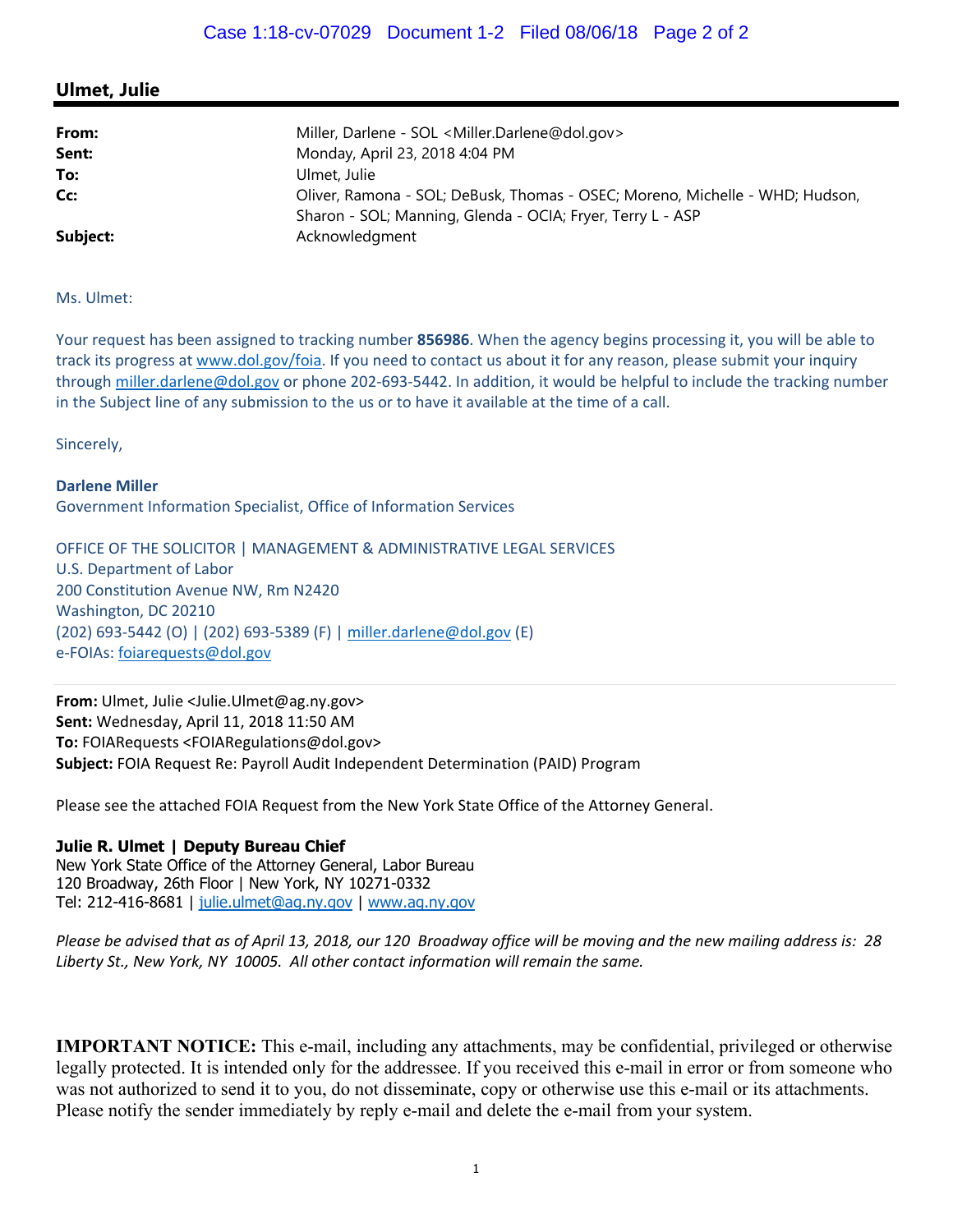## **Ulmet, Julie**

| From:<br>Sent: | Miller, Darlene - SOL < Miller.Darlene@dol.gov><br>Monday, April 23, 2018 4:04 PM                                                          |
|----------------|--------------------------------------------------------------------------------------------------------------------------------------------|
| To:            | Ulmet, Julie                                                                                                                               |
| Cc:            | Oliver, Ramona - SOL; DeBusk, Thomas - OSEC; Moreno, Michelle - WHD; Hudson,<br>Sharon - SOL; Manning, Glenda - OCIA; Fryer, Terry L - ASP |
| Subject:       | Acknowledgment                                                                                                                             |

Ms. Ulmet:

Your request has been assigned to tracking number **856986**. When the agency begins processing it, you will be able to track its progress at www.dol.gov/foia. If you need to contact us about it for any reason, please submit your inquiry through miller.darlene@dol.gov or phone 202-693-5442. In addition, it would be helpful to include the tracking number in the Subject line of any submission to the us or to have it available at the time of a call.

Sincerely,

**Darlene Miller**  Government Information Specialist, Office of Information Services

OFFICE OF THE SOLICITOR | MANAGEMENT & ADMINISTRATIVE LEGAL SERVICES U.S. Department of Labor 200 Constitution Avenue NW, Rm N2420 Washington, DC 20210 (202) 693‐5442 (O) | (202) 693‐5389 (F) | miller.darlene@dol.gov (E) e‐FOIAs: foiarequests@dol.gov

**From:** Ulmet, Julie <Julie.Ulmet@ag.ny.gov> **Sent:** Wednesday, April 11, 2018 11:50 AM **To:** FOIARequests <FOIARegulations@dol.gov> **Subject:** FOIA Request Re: Payroll Audit Independent Determination (PAID) Program

Please see the attached FOIA Request from the New York State Office of the Attorney General.

## **Julie R. Ulmet | Deputy Bureau Chief**

New York State Office of the Attorney General, Labor Bureau 120 Broadway, 26th Floor | New York, NY 10271-0332 Tel: 212-416-8681 | julie.ulmet@ag.ny.gov | www.ag.ny.gov

*Please be advised that as of April 13, 2018, our 120 Broadway office will be moving and the new mailing address is: 28 Liberty St., New York, NY 10005. All other contact information will remain the same.* 

**IMPORTANT NOTICE:** This e-mail, including any attachments, may be confidential, privileged or otherwise legally protected. It is intended only for the addressee. If you received this e-mail in error or from someone who was not authorized to send it to you, do not disseminate, copy or otherwise use this e-mail or its attachments. Please notify the sender immediately by reply e-mail and delete the e-mail from your system.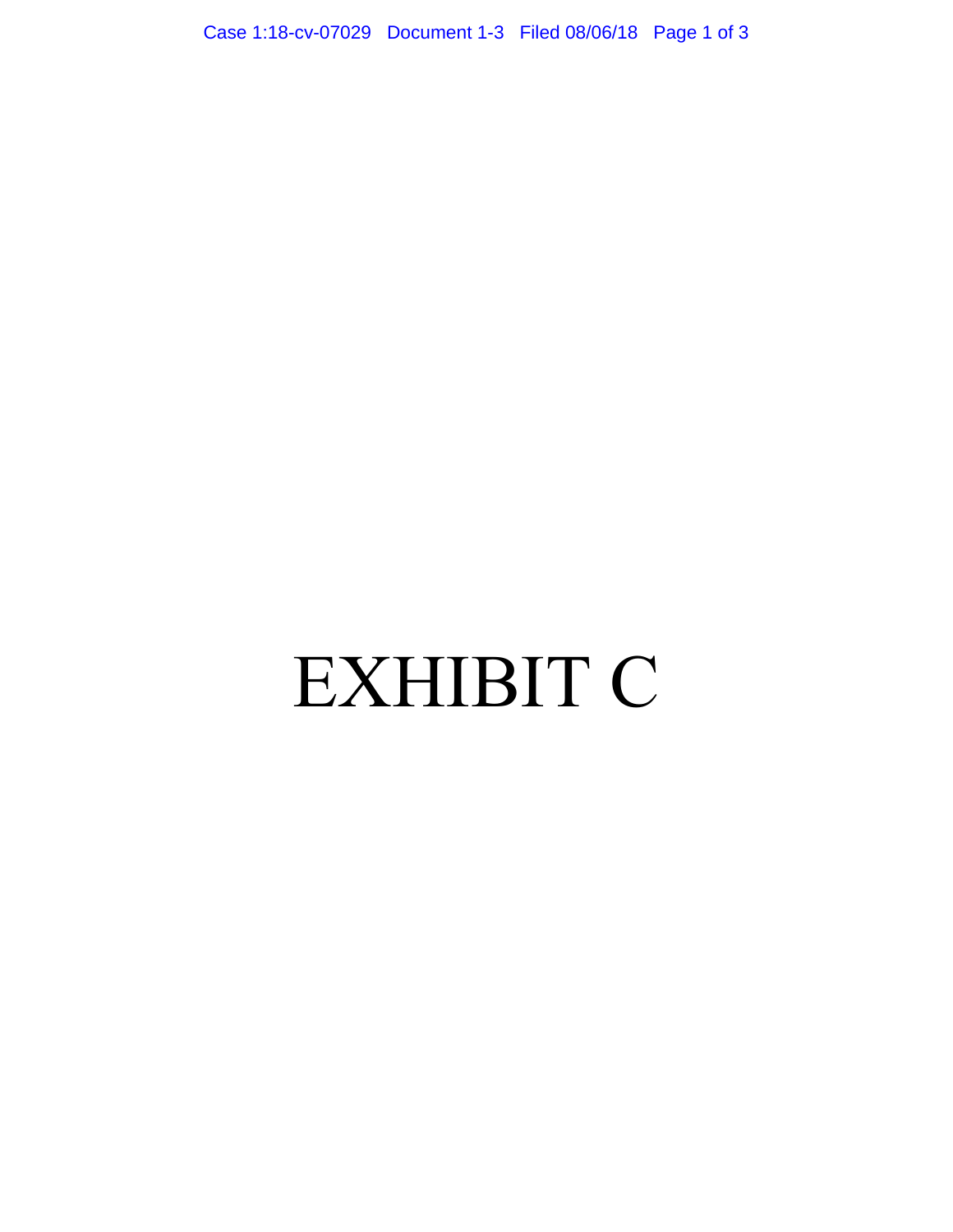Case 1:18-cv-07029 Document 1-3 Filed 08/06/18 Page 1 of 3

# EXHIBIT C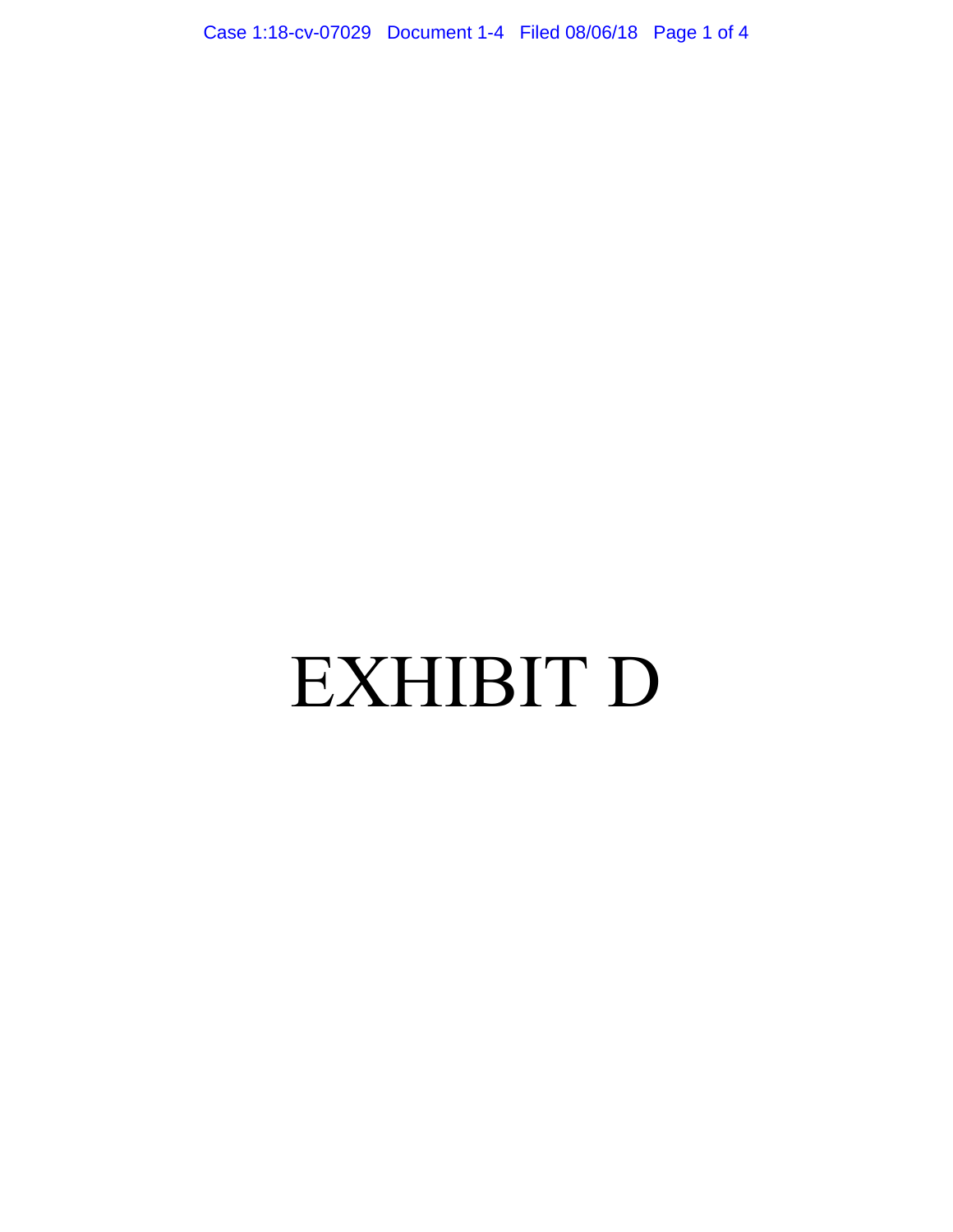Case 1:18-cv-07029 Document 1-4 Filed 08/06/18 Page 1 of 4

# EXHIBIT D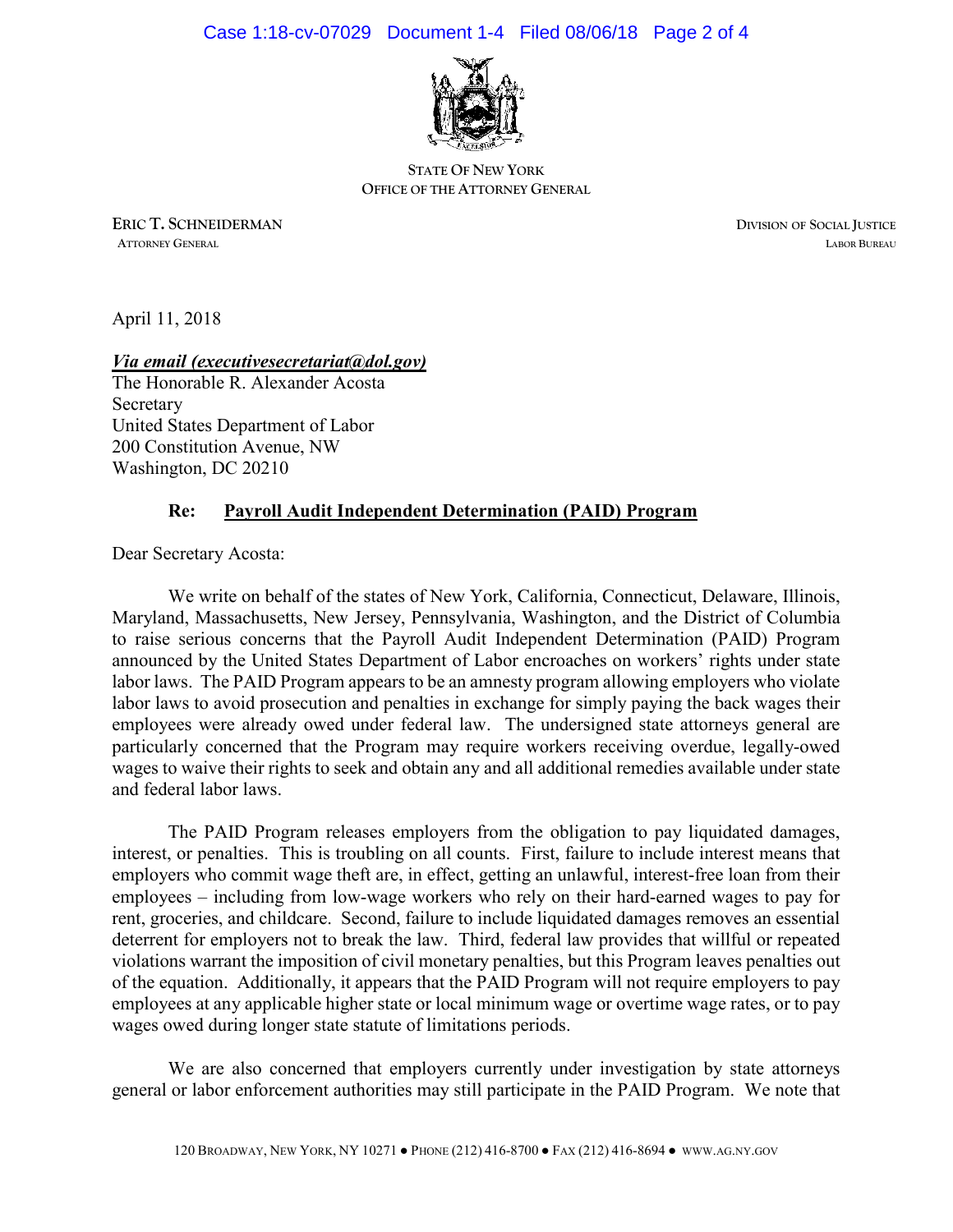

**STATE OF NEW YORK OFFICE OF THE ATTORNEY GENERAL**

**ERIC T. SCHNEIDERMAN DIVISION OF SOCIAL JUSTICE ATTORNEY GENERAL LABOR BUREAU**

April 11, 2018

## *Via email (executivesecretariat@dol.gov)*

The Honorable R. Alexander Acosta Secretary United States Department of Labor 200 Constitution Avenue, NW Washington, DC 20210

## **Re: Payroll Audit Independent Determination (PAID) Program**

Dear Secretary Acosta:

We write on behalf of the states of New York, California, Connecticut, Delaware, Illinois, Maryland, Massachusetts, New Jersey, Pennsylvania, Washington, and the District of Columbia to raise serious concerns that the Payroll Audit Independent Determination (PAID) Program announced by the United States Department of Labor encroaches on workers' rights under state labor laws. The PAID Program appears to be an amnesty program allowing employers who violate labor laws to avoid prosecution and penalties in exchange for simply paying the back wages their employees were already owed under federal law. The undersigned state attorneys general are particularly concerned that the Program may require workers receiving overdue, legally-owed wages to waive their rights to seek and obtain any and all additional remedies available under state and federal labor laws.

The PAID Program releases employers from the obligation to pay liquidated damages, interest, or penalties. This is troubling on all counts. First, failure to include interest means that employers who commit wage theft are, in effect, getting an unlawful, interest-free loan from their employees – including from low-wage workers who rely on their hard-earned wages to pay for rent, groceries, and childcare. Second, failure to include liquidated damages removes an essential deterrent for employers not to break the law. Third, federal law provides that willful or repeated violations warrant the imposition of civil monetary penalties, but this Program leaves penalties out of the equation. Additionally, it appears that the PAID Program will not require employers to pay employees at any applicable higher state or local minimum wage or overtime wage rates, or to pay wages owed during longer state statute of limitations periods.

We are also concerned that employers currently under investigation by state attorneys general or labor enforcement authorities may still participate in the PAID Program. We note that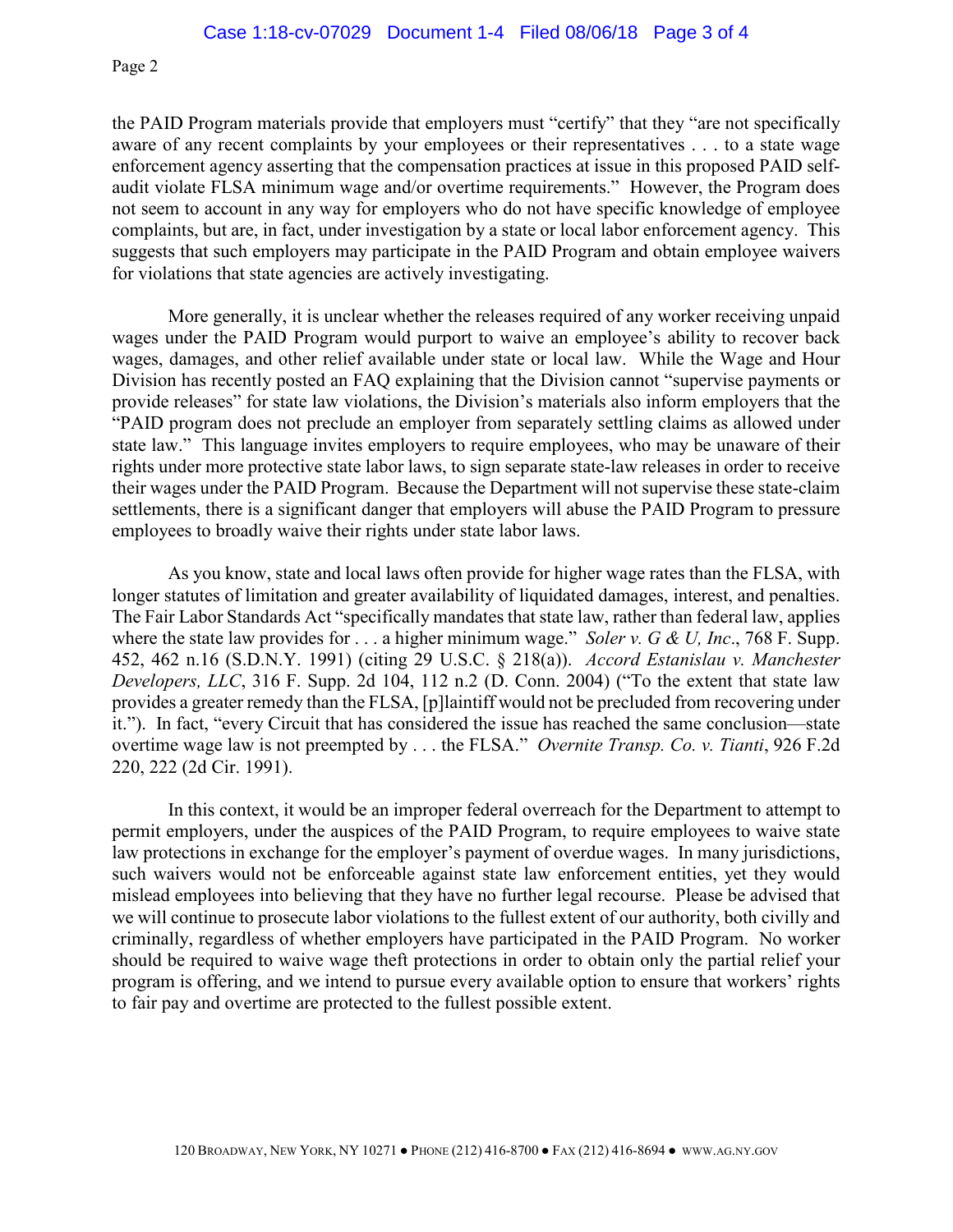Page 2

the PAID Program materials provide that employers must "certify" that they "are not specifically aware of any recent complaints by your employees or their representatives . . . to a state wage enforcement agency asserting that the compensation practices at issue in this proposed PAID selfaudit violate FLSA minimum wage and/or overtime requirements." However, the Program does not seem to account in any way for employers who do not have specific knowledge of employee complaints, but are, in fact, under investigation by a state or local labor enforcement agency. This suggests that such employers may participate in the PAID Program and obtain employee waivers for violations that state agencies are actively investigating.

More generally, it is unclear whether the releases required of any worker receiving unpaid wages under the PAID Program would purport to waive an employee's ability to recover back wages, damages, and other relief available under state or local law. While the Wage and Hour Division has recently posted an FAQ explaining that the Division cannot "supervise payments or provide releases" for state law violations, the Division's materials also inform employers that the "PAID program does not preclude an employer from separately settling claims as allowed under state law." This language invites employers to require employees, who may be unaware of their rights under more protective state labor laws, to sign separate state-law releases in order to receive their wages under the PAID Program. Because the Department will not supervise these state-claim settlements, there is a significant danger that employers will abuse the PAID Program to pressure employees to broadly waive their rights under state labor laws.

As you know, state and local laws often provide for higher wage rates than the FLSA, with longer statutes of limitation and greater availability of liquidated damages, interest, and penalties. The Fair Labor Standards Act "specifically mandates that state law, rather than federal law, applies where the state law provides for . . . a higher minimum wage." *Soler v. G & U, Inc*., 768 F. Supp. 452, 462 n.16 (S.D.N.Y. 1991) (citing 29 U.S.C. § 218(a)). *Accord Estanislau v. Manchester Developers, LLC*, 316 F. Supp. 2d 104, 112 n.2 (D. Conn. 2004) ("To the extent that state law provides a greater remedy than the FLSA, [p]laintiff would not be precluded from recovering under it."). In fact, "every Circuit that has considered the issue has reached the same conclusion—state overtime wage law is not preempted by . . . the FLSA." *Overnite Transp. Co. v. Tianti*, 926 F.2d 220, 222 (2d Cir. 1991).

In this context, it would be an improper federal overreach for the Department to attempt to permit employers, under the auspices of the PAID Program, to require employees to waive state law protections in exchange for the employer's payment of overdue wages. In many jurisdictions, such waivers would not be enforceable against state law enforcement entities, yet they would mislead employees into believing that they have no further legal recourse. Please be advised that we will continue to prosecute labor violations to the fullest extent of our authority, both civilly and criminally, regardless of whether employers have participated in the PAID Program. No worker should be required to waive wage theft protections in order to obtain only the partial relief your program is offering, and we intend to pursue every available option to ensure that workers' rights to fair pay and overtime are protected to the fullest possible extent.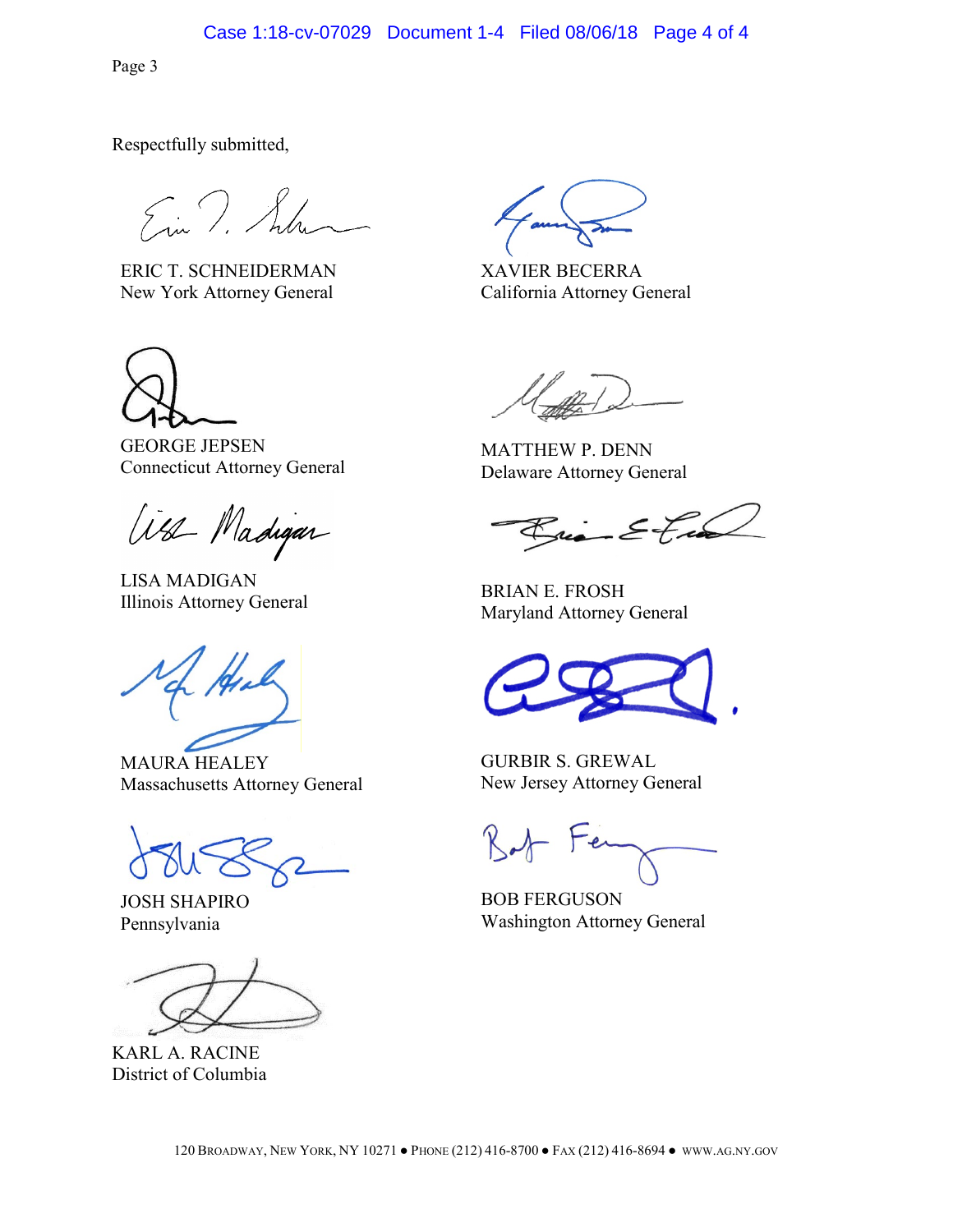Case 1:18-cv-07029 Document 1-4 Filed 08/06/18 Page 4 of 4

Page 3

Respectfully submitted,

Ein T. Schen

ERIC T. SCHNEIDERMAN New York Attorney General



GEORGE JEPSEN Connecticut Attorney General

West Madigan

LISA MADIGAN EISA MADIOAN<br>Illinois Attorney General BRIAN E. FROSH

MAURA HEALEY Massachusetts Attorney General

JOSH SHAPIRO Pennsylvania

KARL A. RACINE District of Columbia

XAVIER BECERRA California Attorney General

MATTHEW P. DENN Delaware Attorney General

Brian Etra

Maryland Attorney General

GURBIR S. GREWAL New Jersey Attorney General

BOB FERGUSON Washington Attorney General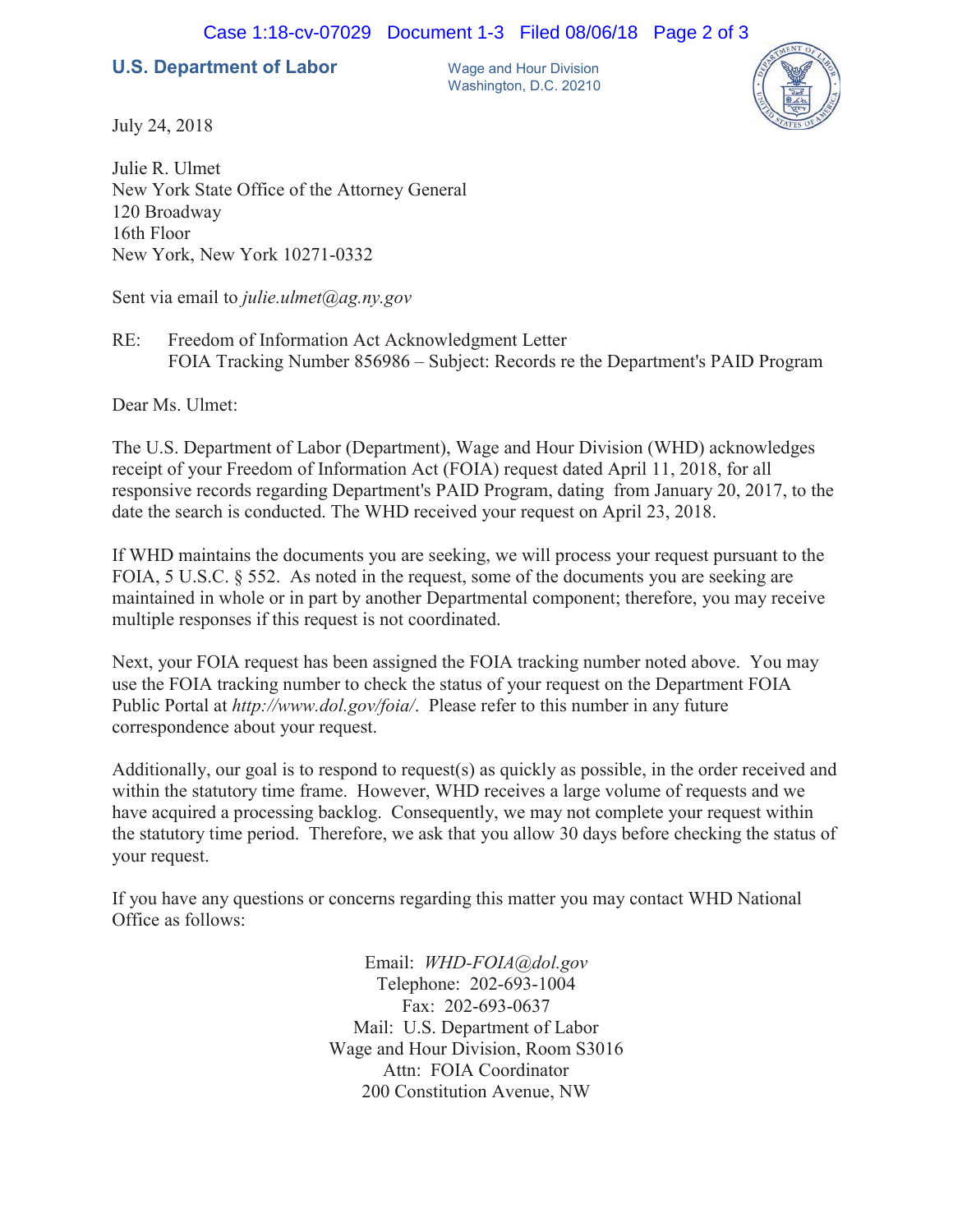## **U.S. Department of Labor** Wage and Hour Division

Washington, D.C. 20210



July 24, 2018

Julie R. Ulmet New York State Office of the Attorney General 120 Broadway 16th Floor New York, New York 10271-0332

Sent via email to *julie.ulmet@ag.ny.gov*

RE: Freedom of Information Act Acknowledgment Letter FOIA Tracking Number 856986 – Subject: Records re the Department's PAID Program

Dear Ms. Ulmet:

The U.S. Department of Labor (Department), Wage and Hour Division (WHD) acknowledges receipt of your Freedom of Information Act (FOIA) request dated April 11, 2018, for all responsive records regarding Department's PAID Program, dating from January 20, 2017, to the date the search is conducted. The WHD received your request on April 23, 2018.

If WHD maintains the documents you are seeking, we will process your request pursuant to the FOIA, 5 U.S.C. § 552. As noted in the request, some of the documents you are seeking are maintained in whole or in part by another Departmental component; therefore, you may receive multiple responses if this request is not coordinated.

Next, your FOIA request has been assigned the FOIA tracking number noted above. You may use the FOIA tracking number to check the status of your request on the Department FOIA Public Portal at *http://www.dol.gov/foia/*. Please refer to this number in any future correspondence about your request.

Additionally, our goal is to respond to request(s) as quickly as possible, in the order received and within the statutory time frame. However, WHD receives a large volume of requests and we have acquired a processing backlog. Consequently, we may not complete your request within the statutory time period. Therefore, we ask that you allow 30 days before checking the status of your request.

If you have any questions or concerns regarding this matter you may contact WHD National Office as follows:

> Email: *WHD-FOIA@dol.gov* Telephone: 202-693-1004 Fax: 202-693-0637 Mail: U.S. Department of Labor Wage and Hour Division, Room S3016 Attn: FOIA Coordinator 200 Constitution Avenue, NW